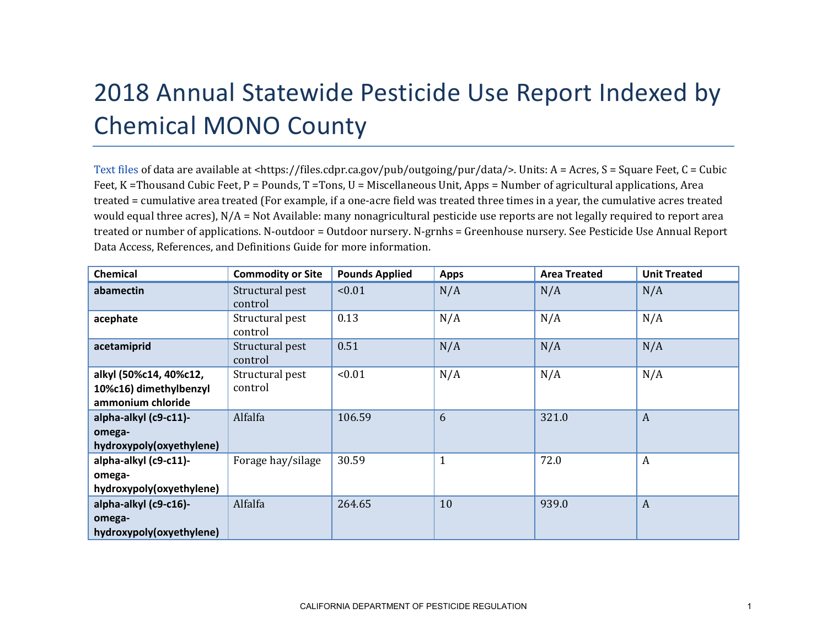## 2018 Annual Statewide Pesticide Use Report Indexed by Chemical MONO County

[Text files](https://files.cdpr.ca.gov/pub/outgoing/pur/data/) of data are available at <https://files.cdpr.ca.gov/pub/outgoing/pur/data/>. Units: A = Acres, S = Square Feet, C = Cubic Feet, K = Thousand Cubic Feet, P = Pounds, T = Tons, U = Miscellaneous Unit, Apps = Number of agricultural applications, Area treated = cumulative area treated (For example, if a one-acre field was treated three times in a year, the cumulative acres treated would equal three acres), N/A = Not Available: many nonagricultural pesticide use reports are not legally required to report area treated or number of applications. N-outdoor = Outdoor nursery. N-grnhs = Greenhouse nursery. See Pesticide Use Annual Report Data Access, References, and Definitions Guide for more information.

| Chemical                                                              | <b>Commodity or Site</b>   | <b>Pounds Applied</b> | <b>Apps</b>  | <b>Area Treated</b> | <b>Unit Treated</b> |
|-----------------------------------------------------------------------|----------------------------|-----------------------|--------------|---------------------|---------------------|
| abamectin                                                             | Structural pest<br>control | < 0.01                | N/A          | N/A                 | N/A                 |
| acephate                                                              | Structural pest<br>control | 0.13                  | N/A          | N/A                 | N/A                 |
| acetamiprid                                                           | Structural pest<br>control | 0.51                  | N/A          | N/A                 | N/A                 |
| alkyl (50%c14, 40%c12,<br>10%c16) dimethylbenzyl<br>ammonium chloride | Structural pest<br>control | < 0.01                | N/A          | N/A                 | N/A                 |
| alpha-alkyl (c9-c11)-<br>omega-<br>hydroxypoly(oxyethylene)           | Alfalfa                    | 106.59                | 6            | 321.0               | $\boldsymbol{A}$    |
| alpha-alkyl (c9-c11)-<br>omega-<br>hydroxypoly(oxyethylene)           | Forage hay/silage          | 30.59                 | $\mathbf{1}$ | 72.0                | A                   |
| alpha-alkyl (c9-c16)-<br>omega-<br>hydroxypoly(oxyethylene)           | Alfalfa                    | 264.65                | 10           | 939.0               | $\boldsymbol{A}$    |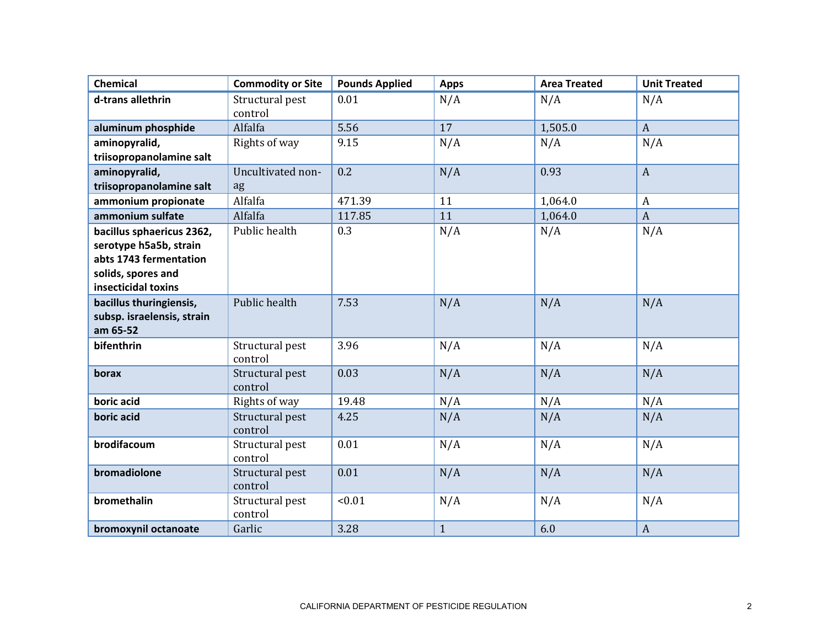| <b>Chemical</b>                                       | <b>Commodity or Site</b>   | <b>Pounds Applied</b> | <b>Apps</b>  | <b>Area Treated</b> | <b>Unit Treated</b> |
|-------------------------------------------------------|----------------------------|-----------------------|--------------|---------------------|---------------------|
| d-trans allethrin                                     | Structural pest<br>control | 0.01                  | N/A          | N/A                 | N/A                 |
| aluminum phosphide                                    | Alfalfa                    | 5.56                  | 17           | 1,505.0             | $\mathbf{A}$        |
| aminopyralid,                                         | Rights of way              | 9.15                  | N/A          | N/A                 | N/A                 |
| triisopropanolamine salt                              |                            |                       |              |                     |                     |
| aminopyralid,                                         | Uncultivated non-          | 0.2                   | N/A          | 0.93                | $\boldsymbol{A}$    |
| triisopropanolamine salt                              | ag                         |                       |              |                     |                     |
| ammonium propionate                                   | Alfalfa                    | 471.39                | 11           | 1,064.0             | $\boldsymbol{A}$    |
| ammonium sulfate                                      | Alfalfa                    | 117.85                | 11           | 1,064.0             | $\overline{A}$      |
| bacillus sphaericus 2362,                             | Public health              | 0.3                   | N/A          | N/A                 | N/A                 |
| serotype h5a5b, strain                                |                            |                       |              |                     |                     |
| abts 1743 fermentation                                |                            |                       |              |                     |                     |
| solids, spores and                                    |                            |                       |              |                     |                     |
| insecticidal toxins                                   | Public health              | 7.53                  |              |                     |                     |
| bacillus thuringiensis,<br>subsp. israelensis, strain |                            |                       | N/A          | N/A                 | N/A                 |
| am 65-52                                              |                            |                       |              |                     |                     |
| bifenthrin                                            | Structural pest            | 3.96                  | N/A          | N/A                 | N/A                 |
|                                                       | control                    |                       |              |                     |                     |
| borax                                                 | Structural pest<br>control | 0.03                  | N/A          | N/A                 | N/A                 |
| boric acid                                            | Rights of way              | 19.48                 | N/A          | N/A                 | N/A                 |
| boric acid                                            | Structural pest            | 4.25                  | N/A          | N/A                 | N/A                 |
|                                                       | control                    |                       |              |                     |                     |
| brodifacoum                                           | Structural pest<br>control | 0.01                  | N/A          | N/A                 | N/A                 |
| bromadiolone                                          | Structural pest<br>control | 0.01                  | N/A          | N/A                 | N/A                 |
| bromethalin                                           | Structural pest<br>control | < 0.01                | N/A          | N/A                 | N/A                 |
| bromoxynil octanoate                                  | Garlic                     | 3.28                  | $\mathbf{1}$ | 6.0                 | $\boldsymbol{A}$    |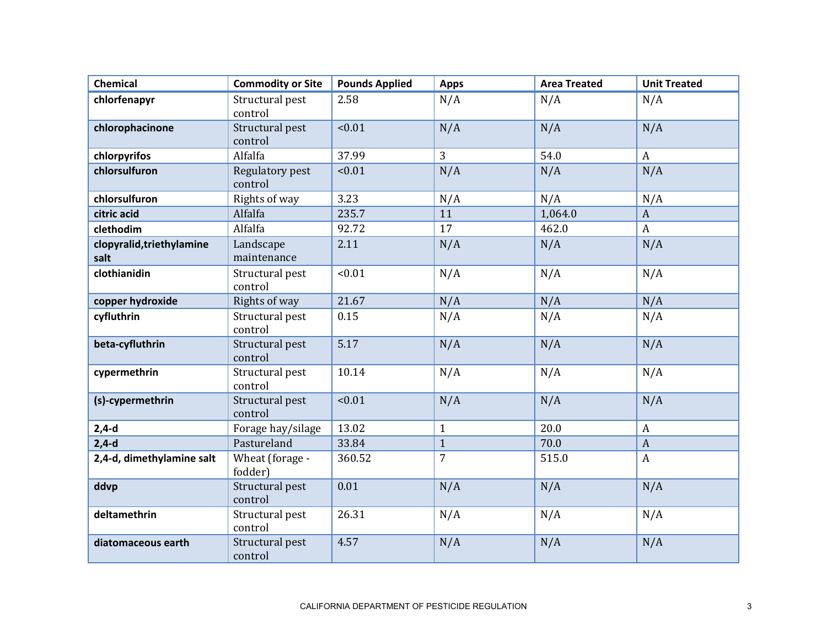| Chemical                          | <b>Commodity or Site</b>   | <b>Pounds Applied</b> | <b>Apps</b>    | <b>Area Treated</b> | <b>Unit Treated</b> |
|-----------------------------------|----------------------------|-----------------------|----------------|---------------------|---------------------|
| chlorfenapyr                      | Structural pest<br>control | 2.58                  | N/A            | N/A                 | N/A                 |
| chlorophacinone                   | Structural pest<br>control | < 0.01                | N/A            | N/A                 | N/A                 |
| chlorpyrifos                      | Alfalfa                    | 37.99                 | 3              | 54.0                | $\mathbf{A}$        |
| chlorsulfuron                     | Regulatory pest<br>control | < 0.01                | N/A            | N/A                 | N/A                 |
| chlorsulfuron                     | Rights of way              | 3.23                  | N/A            | N/A                 | N/A                 |
| citric acid                       | Alfalfa                    | 235.7                 | 11             | 1,064.0             | $\mathbf{A}$        |
| clethodim                         | Alfalfa                    | 92.72                 | 17             | 462.0               | $\boldsymbol{A}$    |
| clopyralid, triethylamine<br>salt | Landscape<br>maintenance   | 2.11                  | N/A            | N/A                 | N/A                 |
| clothianidin                      | Structural pest<br>control | < 0.01                | N/A            | N/A                 | N/A                 |
| copper hydroxide                  | Rights of way              | 21.67                 | N/A            | N/A                 | N/A                 |
| cyfluthrin                        | Structural pest<br>control | 0.15                  | N/A            | N/A                 | N/A                 |
| beta-cyfluthrin                   | Structural pest<br>control | 5.17                  | N/A            | N/A                 | N/A                 |
| cypermethrin                      | Structural pest<br>control | 10.14                 | N/A            | N/A                 | N/A                 |
| (s)-cypermethrin                  | Structural pest<br>control | < 0.01                | N/A            | N/A                 | N/A                 |
| $2,4-d$                           | Forage hay/silage          | 13.02                 | $\mathbf{1}$   | 20.0                | $\mathbf{A}$        |
| $2,4-d$                           | Pastureland                | 33.84                 | $\mathbf{1}$   | 70.0                | $\mathbf{A}$        |
| 2,4-d, dimethylamine salt         | Wheat (forage -<br>fodder) | 360.52                | $\overline{7}$ | 515.0               | $\mathbf{A}$        |
| ddvp                              | Structural pest<br>control | 0.01                  | N/A            | N/A                 | N/A                 |
| deltamethrin                      | Structural pest<br>control | 26.31                 | N/A            | N/A                 | N/A                 |
| diatomaceous earth                | Structural pest<br>control | 4.57                  | N/A            | N/A                 | N/A                 |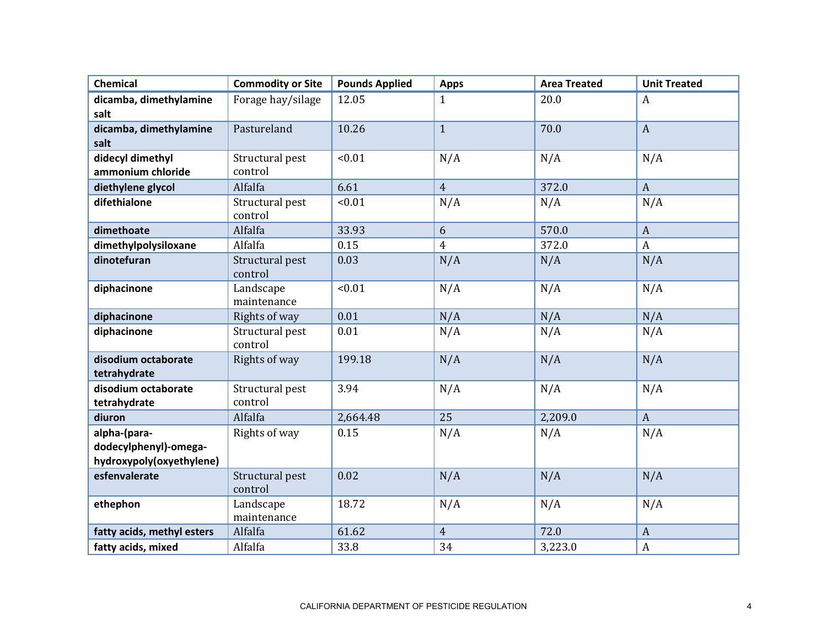| <b>Chemical</b>                                                   | <b>Commodity or Site</b>   | <b>Pounds Applied</b> | <b>Apps</b>    | <b>Area Treated</b> | <b>Unit Treated</b> |
|-------------------------------------------------------------------|----------------------------|-----------------------|----------------|---------------------|---------------------|
| dicamba, dimethylamine                                            | Forage hay/silage          | 12.05                 | 1              | 20.0                | A                   |
| salt<br>dicamba, dimethylamine<br>salt                            | Pastureland                | 10.26                 | $\mathbf{1}$   | 70.0                | $\mathbf{A}$        |
| didecyl dimethyl<br>ammonium chloride                             | Structural pest<br>control | < 0.01                | N/A            | N/A                 | N/A                 |
| diethylene glycol                                                 | Alfalfa                    | 6.61                  | $\overline{4}$ | 372.0               | $\mathbf{A}$        |
| difethialone                                                      | Structural pest<br>control | < 0.01                | N/A            | N/A                 | N/A                 |
| dimethoate                                                        | Alfalfa                    | 33.93                 | 6              | 570.0               | $\mathbf{A}$        |
| dimethylpolysiloxane                                              | Alfalfa                    | 0.15                  | $\overline{4}$ | 372.0               | $\boldsymbol{A}$    |
| dinotefuran                                                       | Structural pest<br>control | 0.03                  | N/A            | N/A                 | N/A                 |
| diphacinone                                                       | Landscape<br>maintenance   | < 0.01                | N/A            | N/A                 | N/A                 |
| diphacinone                                                       | Rights of way              | 0.01                  | N/A            | N/A                 | N/A                 |
| diphacinone                                                       | Structural pest<br>control | 0.01                  | N/A            | N/A                 | N/A                 |
| disodium octaborate<br>tetrahydrate                               | Rights of way              | 199.18                | N/A            | N/A                 | N/A                 |
| disodium octaborate<br>tetrahydrate                               | Structural pest<br>control | 3.94                  | N/A            | N/A                 | N/A                 |
| diuron                                                            | Alfalfa                    | 2,664.48              | 25             | 2,209.0             | $\mathbf{A}$        |
| alpha-(para-<br>dodecylphenyl)-omega-<br>hydroxypoly(oxyethylene) | Rights of way              | 0.15                  | N/A            | N/A                 | N/A                 |
| esfenvalerate                                                     | Structural pest<br>control | 0.02                  | N/A            | N/A                 | N/A                 |
| ethephon                                                          | Landscape<br>maintenance   | 18.72                 | N/A            | N/A                 | N/A                 |
| fatty acids, methyl esters                                        | Alfalfa                    | 61.62                 | $\overline{4}$ | 72.0                | $\mathbf{A}$        |
| fatty acids, mixed                                                | Alfalfa                    | 33.8                  | 34             | 3,223.0             | $\mathbf{A}$        |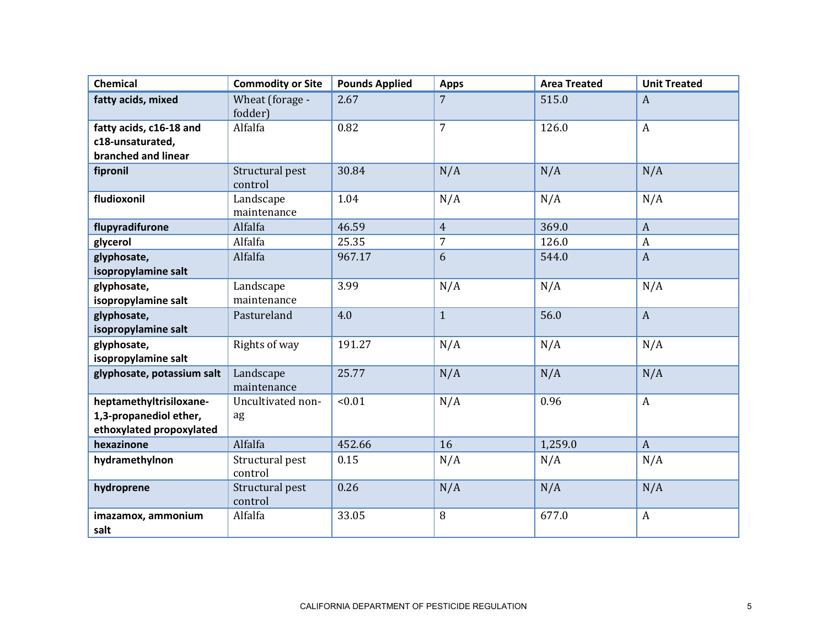| <b>Chemical</b>                                    | <b>Commodity or Site</b>   | <b>Pounds Applied</b> | <b>Apps</b>    | <b>Area Treated</b> | <b>Unit Treated</b> |
|----------------------------------------------------|----------------------------|-----------------------|----------------|---------------------|---------------------|
| fatty acids, mixed                                 | Wheat (forage -<br>fodder) | 2.67                  | $\overline{7}$ | 515.0               | $\boldsymbol{A}$    |
| fatty acids, c16-18 and                            | Alfalfa                    | 0.82                  | $\overline{7}$ | 126.0               | $\mathbf{A}$        |
| c18-unsaturated,                                   |                            |                       |                |                     |                     |
| branched and linear                                |                            |                       |                |                     |                     |
| fipronil                                           | Structural pest<br>control | 30.84                 | N/A            | N/A                 | N/A                 |
| fludioxonil                                        | Landscape<br>maintenance   | 1.04                  | N/A            | N/A                 | N/A                 |
| flupyradifurone                                    | Alfalfa                    | 46.59                 | $\overline{4}$ | 369.0               | $\mathbf{A}$        |
| glycerol                                           | Alfalfa                    | 25.35                 | $\overline{7}$ | 126.0               | $\boldsymbol{A}$    |
| glyphosate,                                        | Alfalfa                    | 967.17                | 6              | 544.0               | $\boldsymbol{A}$    |
| isopropylamine salt                                |                            |                       |                |                     |                     |
| glyphosate,                                        | Landscape                  | 3.99                  | N/A            | N/A                 | N/A                 |
| isopropylamine salt                                | maintenance                |                       |                |                     |                     |
| glyphosate,                                        | Pastureland                | 4.0                   | $\mathbf{1}$   | 56.0                | $\mathbf{A}$        |
| isopropylamine salt                                |                            |                       |                |                     |                     |
| glyphosate,<br>isopropylamine salt                 | Rights of way              | 191.27                | N/A            | N/A                 | N/A                 |
| glyphosate, potassium salt                         | Landscape                  | 25.77                 | N/A            | N/A                 | N/A                 |
|                                                    | maintenance                |                       |                |                     |                     |
| heptamethyltrisiloxane-                            | Uncultivated non-          | < 0.01                | N/A            | 0.96                | $\mathbf{A}$        |
| 1,3-propanediol ether,<br>ethoxylated propoxylated | ag                         |                       |                |                     |                     |
| hexazinone                                         | Alfalfa                    | 452.66                | 16             | 1,259.0             | $\boldsymbol{A}$    |
|                                                    |                            |                       |                |                     |                     |
| hydramethylnon                                     | Structural pest<br>control | 0.15                  | N/A            | N/A                 | N/A                 |
| hydroprene                                         | Structural pest<br>control | 0.26                  | N/A            | N/A                 | N/A                 |
| imazamox, ammonium                                 | Alfalfa                    | 33.05                 | 8              | 677.0               | $\mathbf{A}$        |
| salt                                               |                            |                       |                |                     |                     |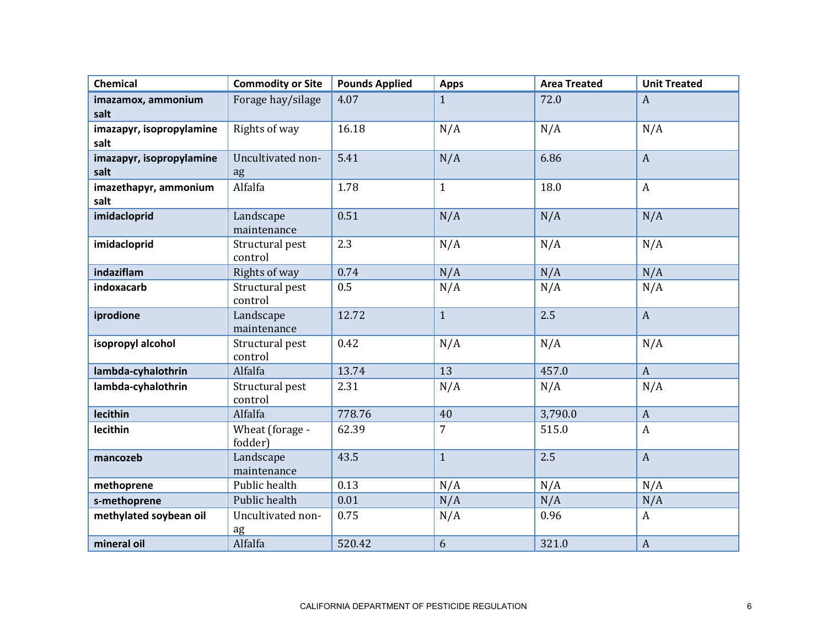| <b>Chemical</b>                  | <b>Commodity or Site</b>   | <b>Pounds Applied</b> | <b>Apps</b>    | <b>Area Treated</b> | <b>Unit Treated</b> |
|----------------------------------|----------------------------|-----------------------|----------------|---------------------|---------------------|
| imazamox, ammonium<br>salt       | Forage hay/silage          | 4.07                  | $\mathbf{1}$   | 72.0                | $\mathbf{A}$        |
| imazapyr, isopropylamine<br>salt | Rights of way              | 16.18                 | N/A            | N/A                 | N/A                 |
| imazapyr, isopropylamine<br>salt | Uncultivated non-<br>ag    | 5.41                  | N/A            | 6.86                | $\mathbf{A}$        |
| imazethapyr, ammonium<br>salt    | Alfalfa                    | 1.78                  | $\mathbf{1}$   | 18.0                | $\mathbf{A}$        |
| imidacloprid                     | Landscape<br>maintenance   | 0.51                  | N/A            | N/A                 | N/A                 |
| imidacloprid                     | Structural pest<br>control | 2.3                   | N/A            | N/A                 | N/A                 |
| indaziflam                       | Rights of way              | 0.74                  | N/A            | N/A                 | N/A                 |
| indoxacarb                       | Structural pest<br>control | 0.5                   | N/A            | N/A                 | N/A                 |
| iprodione                        | Landscape<br>maintenance   | 12.72                 | $\mathbf{1}$   | 2.5                 | $\mathbf{A}$        |
| isopropyl alcohol                | Structural pest<br>control | 0.42                  | N/A            | N/A                 | N/A                 |
| lambda-cyhalothrin               | Alfalfa                    | 13.74                 | 13             | 457.0               | $\mathbf{A}$        |
| lambda-cyhalothrin               | Structural pest<br>control | 2.31                  | N/A            | N/A                 | N/A                 |
| lecithin                         | Alfalfa                    | 778.76                | 40             | 3,790.0             | $\mathbf{A}$        |
| lecithin                         | Wheat (forage -<br>fodder) | 62.39                 | $\overline{7}$ | 515.0               | $\boldsymbol{A}$    |
| mancozeb                         | Landscape<br>maintenance   | 43.5                  | $\mathbf{1}$   | 2.5                 | $\mathbf{A}$        |
| methoprene                       | Public health              | 0.13                  | N/A            | N/A                 | N/A                 |
| s-methoprene                     | Public health              | 0.01                  | N/A            | N/A                 | N/A                 |
| methylated soybean oil           | Uncultivated non-<br>ag    | 0.75                  | N/A            | 0.96                | $\mathbf{A}$        |
| mineral oil                      | Alfalfa                    | 520.42                | 6              | 321.0               | $\boldsymbol{A}$    |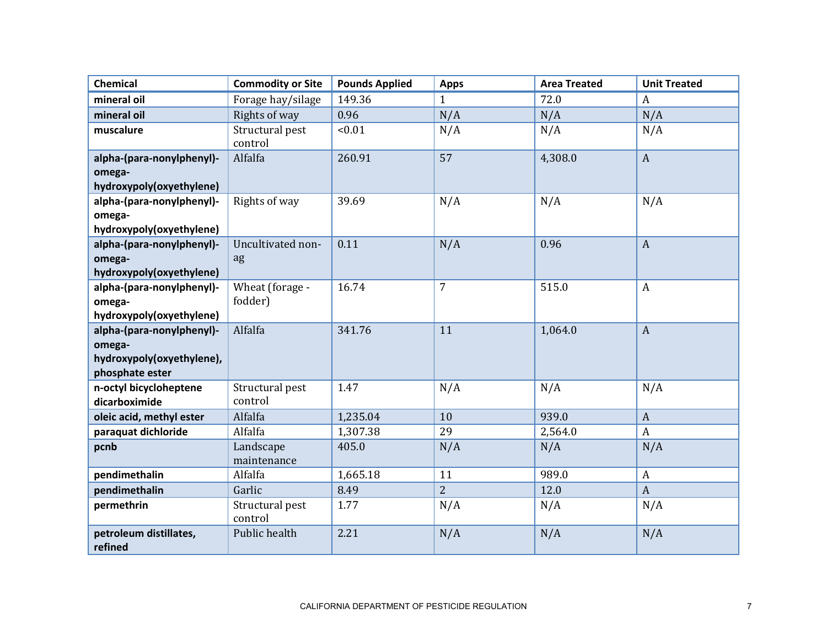| <b>Chemical</b>                                                                     | <b>Commodity or Site</b>   | <b>Pounds Applied</b> | <b>Apps</b>    | <b>Area Treated</b> | <b>Unit Treated</b> |
|-------------------------------------------------------------------------------------|----------------------------|-----------------------|----------------|---------------------|---------------------|
| mineral oil                                                                         | Forage hay/silage          | 149.36                | 1              | 72.0                | A                   |
| mineral oil                                                                         | Rights of way              | 0.96                  | N/A            | N/A                 | N/A                 |
| muscalure                                                                           | Structural pest<br>control | < 0.01                | N/A            | N/A                 | N/A                 |
| alpha-(para-nonylphenyl)-<br>omega-<br>hydroxypoly(oxyethylene)                     | Alfalfa                    | 260.91                | 57             | 4,308.0             | $\mathbf{A}$        |
| alpha-(para-nonylphenyl)-<br>omega-<br>hydroxypoly(oxyethylene)                     | Rights of way              | 39.69                 | N/A            | N/A                 | N/A                 |
| alpha-(para-nonylphenyl)-<br>omega-<br>hydroxypoly(oxyethylene)                     | Uncultivated non-<br>ag    | 0.11                  | N/A            | 0.96                | $\boldsymbol{A}$    |
| alpha-(para-nonylphenyl)-<br>omega-<br>hydroxypoly(oxyethylene)                     | Wheat (forage -<br>fodder) | 16.74                 | $\overline{7}$ | 515.0               | $\mathbf{A}$        |
| alpha-(para-nonylphenyl)-<br>omega-<br>hydroxypoly(oxyethylene),<br>phosphate ester | Alfalfa                    | 341.76                | 11             | 1,064.0             | $\boldsymbol{A}$    |
| n-octyl bicycloheptene<br>dicarboximide                                             | Structural pest<br>control | 1.47                  | N/A            | N/A                 | N/A                 |
| oleic acid, methyl ester                                                            | Alfalfa                    | 1,235.04              | 10             | 939.0               | $\mathbf{A}$        |
| paraquat dichloride                                                                 | Alfalfa                    | 1,307.38              | 29             | 2,564.0             | $\boldsymbol{A}$    |
| pcnb                                                                                | Landscape<br>maintenance   | 405.0                 | N/A            | N/A                 | N/A                 |
| pendimethalin                                                                       | Alfalfa                    | 1,665.18              | 11             | 989.0               | $\mathbf{A}$        |
| pendimethalin                                                                       | Garlic                     | 8.49                  | $\overline{2}$ | 12.0                | $\overline{A}$      |
| permethrin                                                                          | Structural pest<br>control | 1.77                  | N/A            | N/A                 | N/A                 |
| petroleum distillates,<br>refined                                                   | Public health              | 2.21                  | N/A            | N/A                 | N/A                 |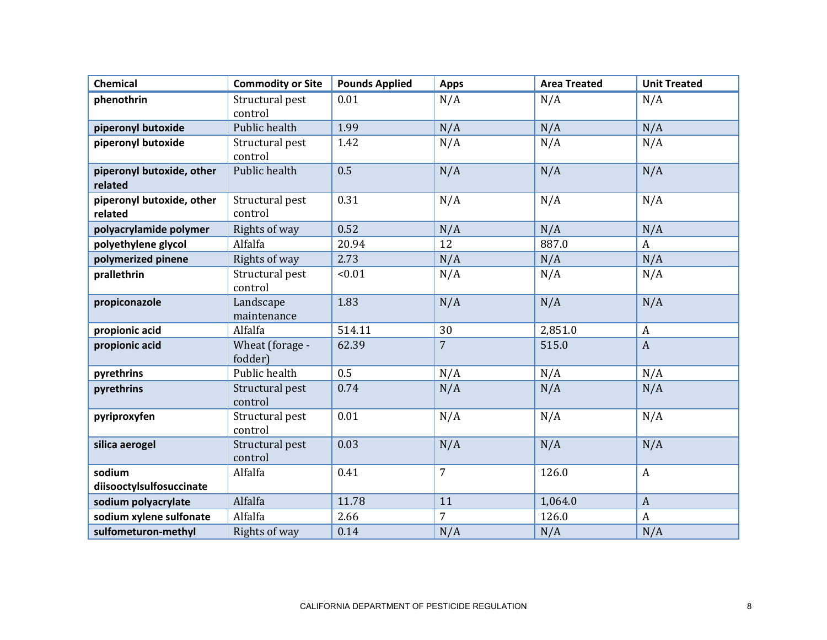| <b>Chemical</b>                      | <b>Commodity or Site</b>   | <b>Pounds Applied</b> | <b>Apps</b>    | <b>Area Treated</b> | <b>Unit Treated</b> |
|--------------------------------------|----------------------------|-----------------------|----------------|---------------------|---------------------|
| phenothrin                           | Structural pest<br>control | 0.01                  | N/A            | N/A                 | N/A                 |
| piperonyl butoxide                   | Public health              | 1.99                  | N/A            | N/A                 | N/A                 |
| piperonyl butoxide                   | Structural pest<br>control | 1.42                  | N/A            | N/A                 | N/A                 |
| piperonyl butoxide, other<br>related | Public health              | 0.5                   | N/A            | N/A                 | N/A                 |
| piperonyl butoxide, other<br>related | Structural pest<br>control | 0.31                  | N/A            | N/A                 | N/A                 |
| polyacrylamide polymer               | Rights of way              | 0.52                  | N/A            | N/A                 | N/A                 |
| polyethylene glycol                  | Alfalfa                    | 20.94                 | 12             | 887.0               | $\mathbf{A}$        |
| polymerized pinene                   | Rights of way              | 2.73                  | N/A            | N/A                 | N/A                 |
| prallethrin                          | Structural pest<br>control | < 0.01                | N/A            | N/A                 | N/A                 |
| propiconazole                        | Landscape<br>maintenance   | 1.83                  | N/A            | N/A                 | N/A                 |
| propionic acid                       | Alfalfa                    | 514.11                | 30             | 2,851.0             | $\mathbf{A}$        |
| propionic acid                       | Wheat (forage -<br>fodder) | 62.39                 | $\overline{7}$ | 515.0               | $\mathbf{A}$        |
| pyrethrins                           | Public health              | 0.5                   | N/A            | N/A                 | N/A                 |
| pyrethrins                           | Structural pest<br>control | 0.74                  | N/A            | N/A                 | N/A                 |
| pyriproxyfen                         | Structural pest<br>control | 0.01                  | N/A            | N/A                 | N/A                 |
| silica aerogel                       | Structural pest<br>control | 0.03                  | N/A            | N/A                 | N/A                 |
| sodium<br>diisooctylsulfosuccinate   | Alfalfa                    | 0.41                  | $\overline{7}$ | 126.0               | $\mathbf{A}$        |
| sodium polyacrylate                  | Alfalfa                    | 11.78                 | 11             | 1,064.0             | $\mathbf{A}$        |
| sodium xylene sulfonate              | Alfalfa                    | 2.66                  | $\overline{7}$ | 126.0               | $\mathbf{A}$        |
| sulfometuron-methyl                  | Rights of way              | 0.14                  | N/A            | N/A                 | N/A                 |